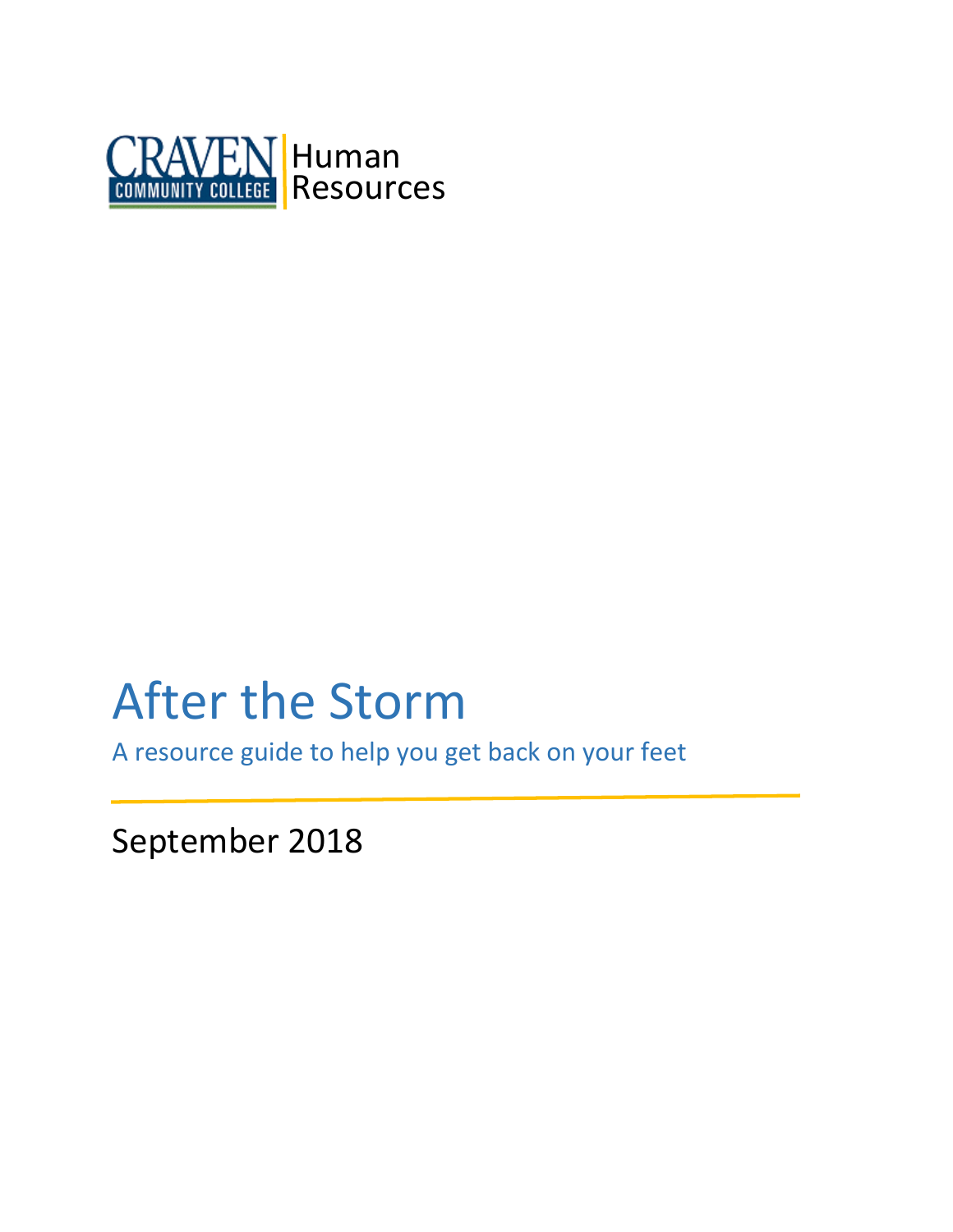

# After the Storm

A resource guide to help you get back on your feet

September 2018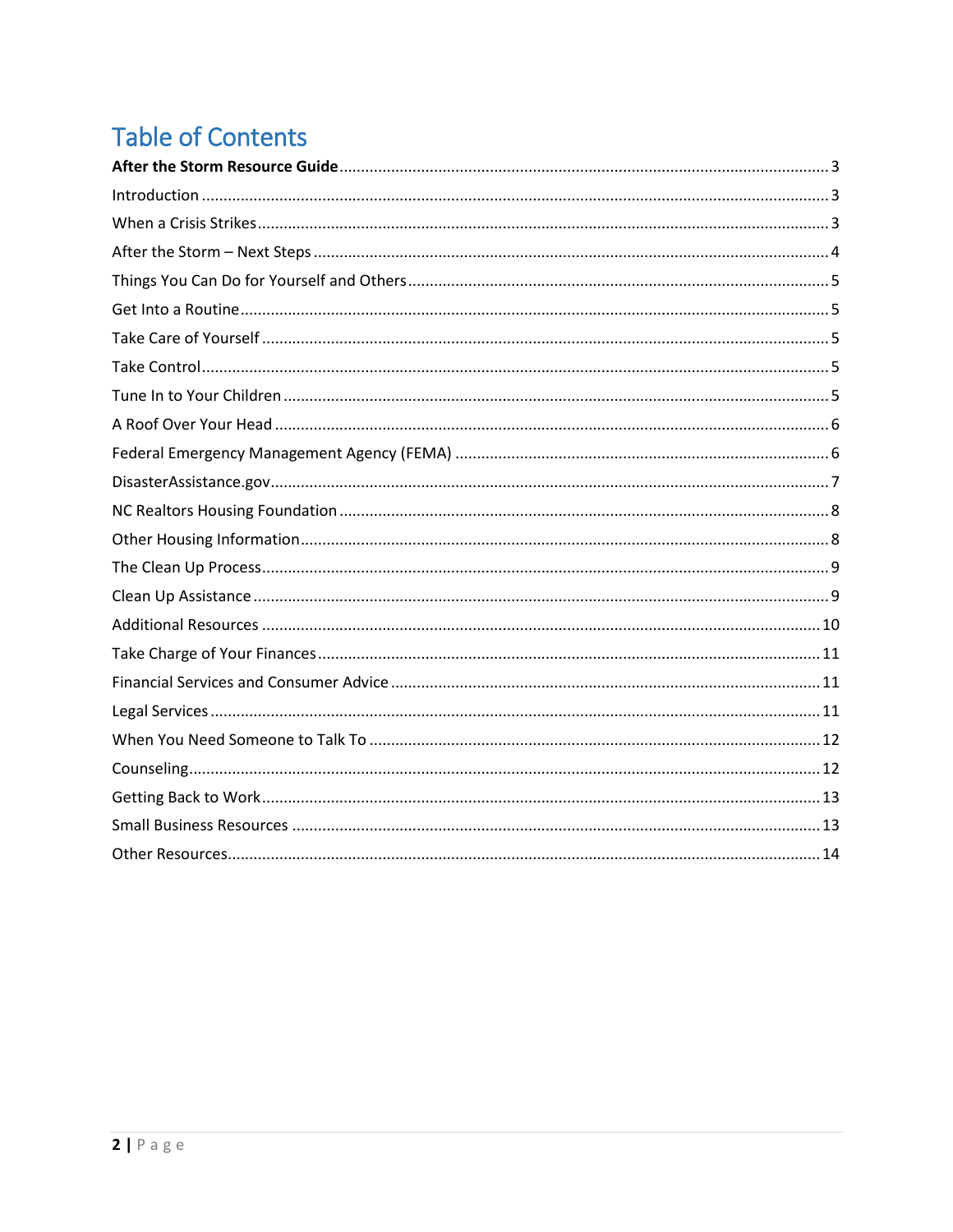# **Table of Contents**

<span id="page-1-0"></span>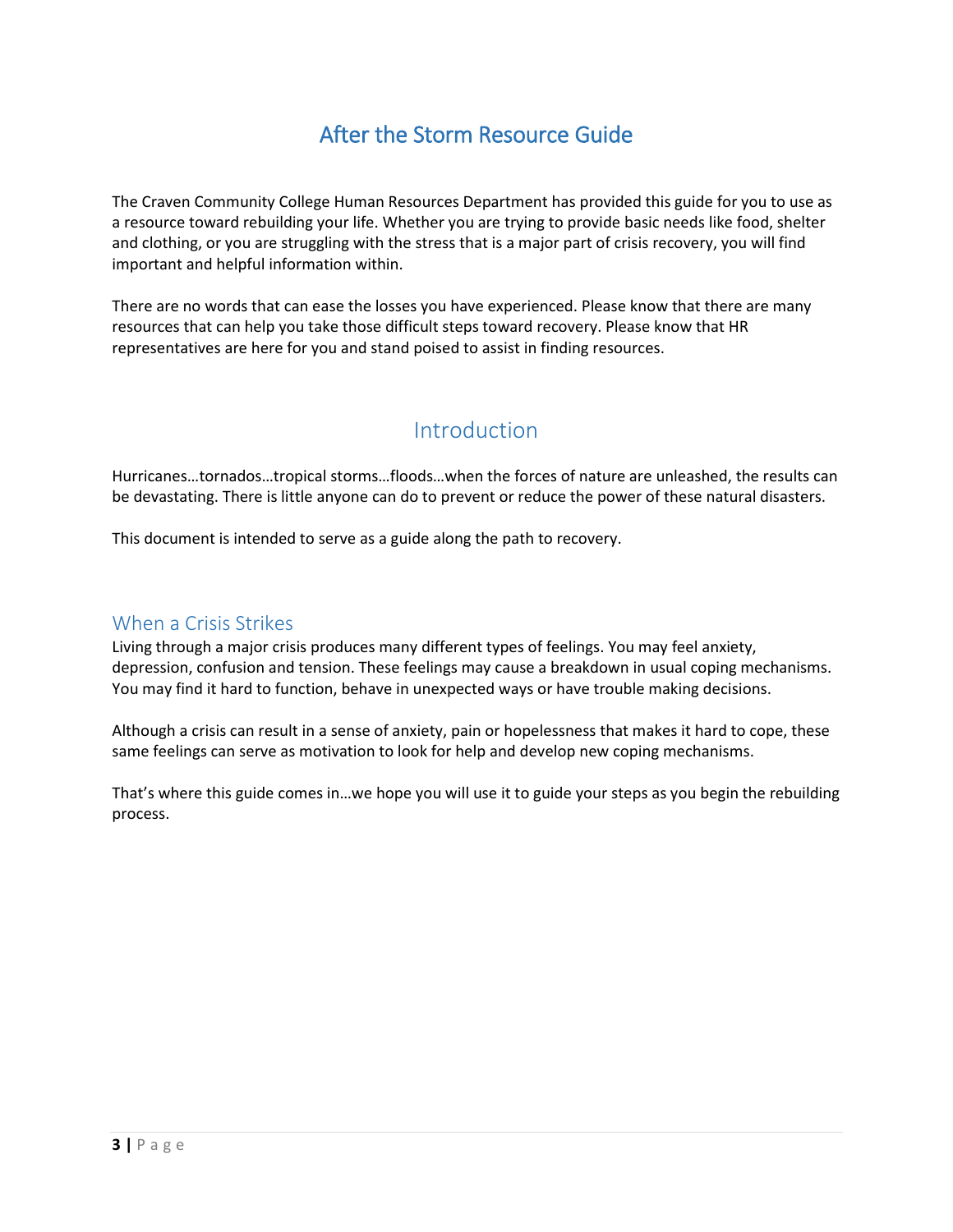# After the Storm Resource Guide

The Craven Community College Human Resources Department has provided this guide for you to use as a resource toward rebuilding your life. Whether you are trying to provide basic needs like food, shelter and clothing, or you are struggling with the stress that is a major part of crisis recovery, you will find important and helpful information within.

There are no words that can ease the losses you have experienced. Please know that there are many resources that can help you take those difficult steps toward recovery. Please know that HR representatives are here for you and stand poised to assist in finding resources.

### Introduction

<span id="page-2-0"></span>Hurricanes…tornados…tropical storms…floods…when the forces of nature are unleashed, the results can be devastating. There is little anyone can do to prevent or reduce the power of these natural disasters.

This document is intended to serve as a guide along the path to recovery.

### <span id="page-2-1"></span>When a Crisis Strikes

Living through a major crisis produces many different types of feelings. You may feel anxiety, depression, confusion and tension. These feelings may cause a breakdown in usual coping mechanisms. You may find it hard to function, behave in unexpected ways or have trouble making decisions.

Although a crisis can result in a sense of anxiety, pain or hopelessness that makes it hard to cope, these same feelings can serve as motivation to look for help and develop new coping mechanisms.

That's where this guide comes in…we hope you will use it to guide your steps as you begin the rebuilding process.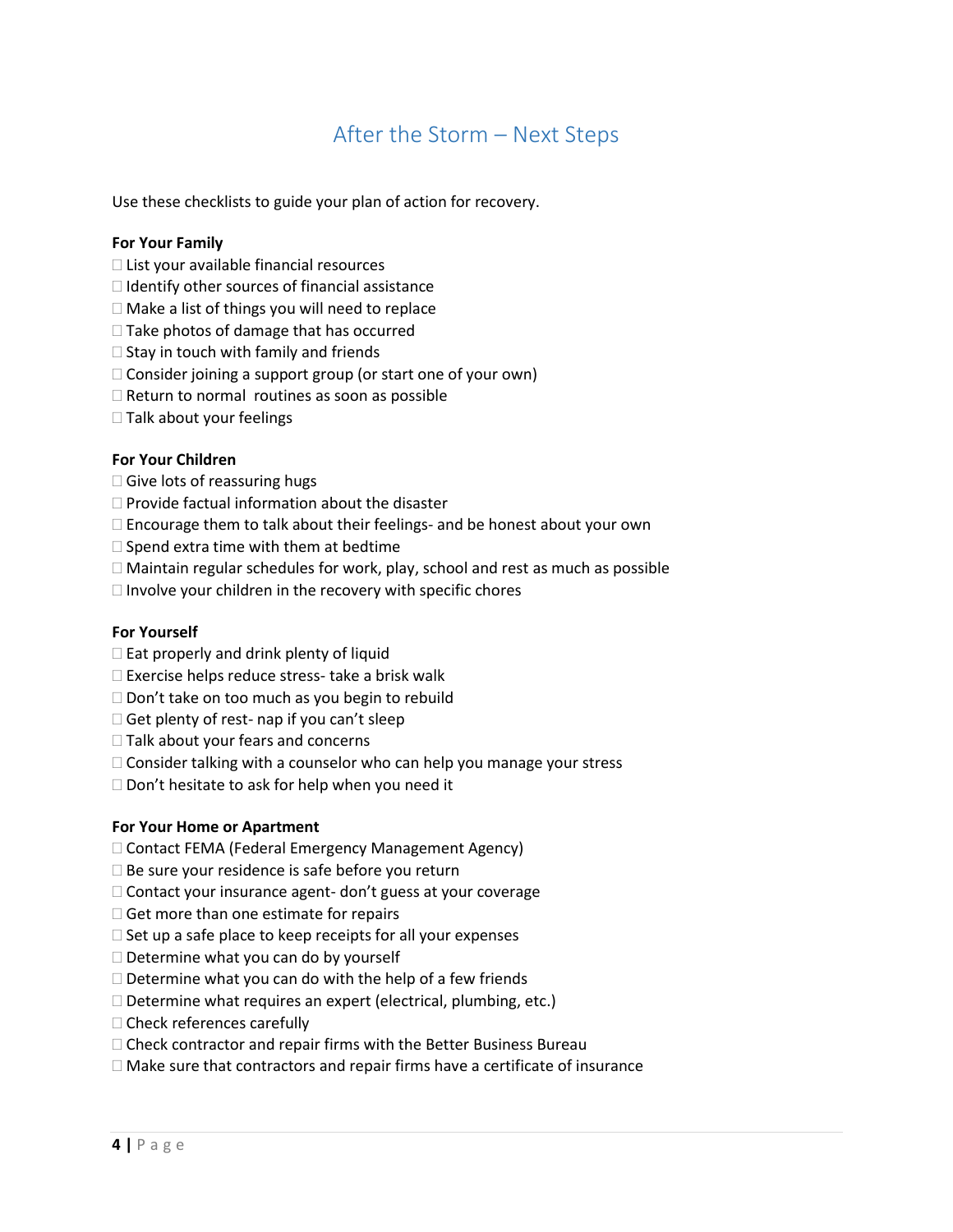### After the Storm – Next Steps

<span id="page-3-0"></span>Use these checklists to guide your plan of action for recovery.

#### **For Your Family**

- $\Box$  List your available financial resources
- $\Box$  Identify other sources of financial assistance
- $\Box$  Make a list of things you will need to replace
- $\Box$  Take photos of damage that has occurred
- $\Box$  Stay in touch with family and friends
- $\Box$  Consider joining a support group (or start one of your own)
- $\Box$  Return to normal routines as soon as possible
- $\square$  Talk about your feelings

#### **For Your Children**

- $\Box$  Give lots of reassuring hugs
- $\Box$  Provide factual information about the disaster
- $\Box$  Encourage them to talk about their feelings- and be honest about your own
- $\square$  Spend extra time with them at bedtime
- Maintain regular schedules for work, play, school and rest as much as possible
- $\Box$  Involve your children in the recovery with specific chores

#### **For Yourself**

- $\square$  Eat properly and drink plenty of liquid
- $\square$  Exercise helps reduce stress- take a brisk walk
- $\Box$  Don't take on too much as you begin to rebuild
- $\Box$  Get plenty of rest- nap if you can't sleep
- $\Box$  Talk about your fears and concerns
- $\Box$  Consider talking with a counselor who can help you manage your stress
- $\square$  Don't hesitate to ask for help when you need it

#### **For Your Home or Apartment**

- □ Contact FEMA (Federal Emergency Management Agency)
- $\square$  Be sure your residence is safe before you return
- $\Box$  Contact your insurance agent- don't guess at your coverage
- $\Box$  Get more than one estimate for repairs
- $\Box$  Set up a safe place to keep receipts for all your expenses
- $\square$  Determine what you can do by yourself
- $\Box$  Determine what you can do with the help of a few friends
- $\Box$  Determine what requires an expert (electrical, plumbing, etc.)
- $\Box$  Check references carefully
- $\Box$  Check contractor and repair firms with the Better Business Bureau
- $\Box$  Make sure that contractors and repair firms have a certificate of insurance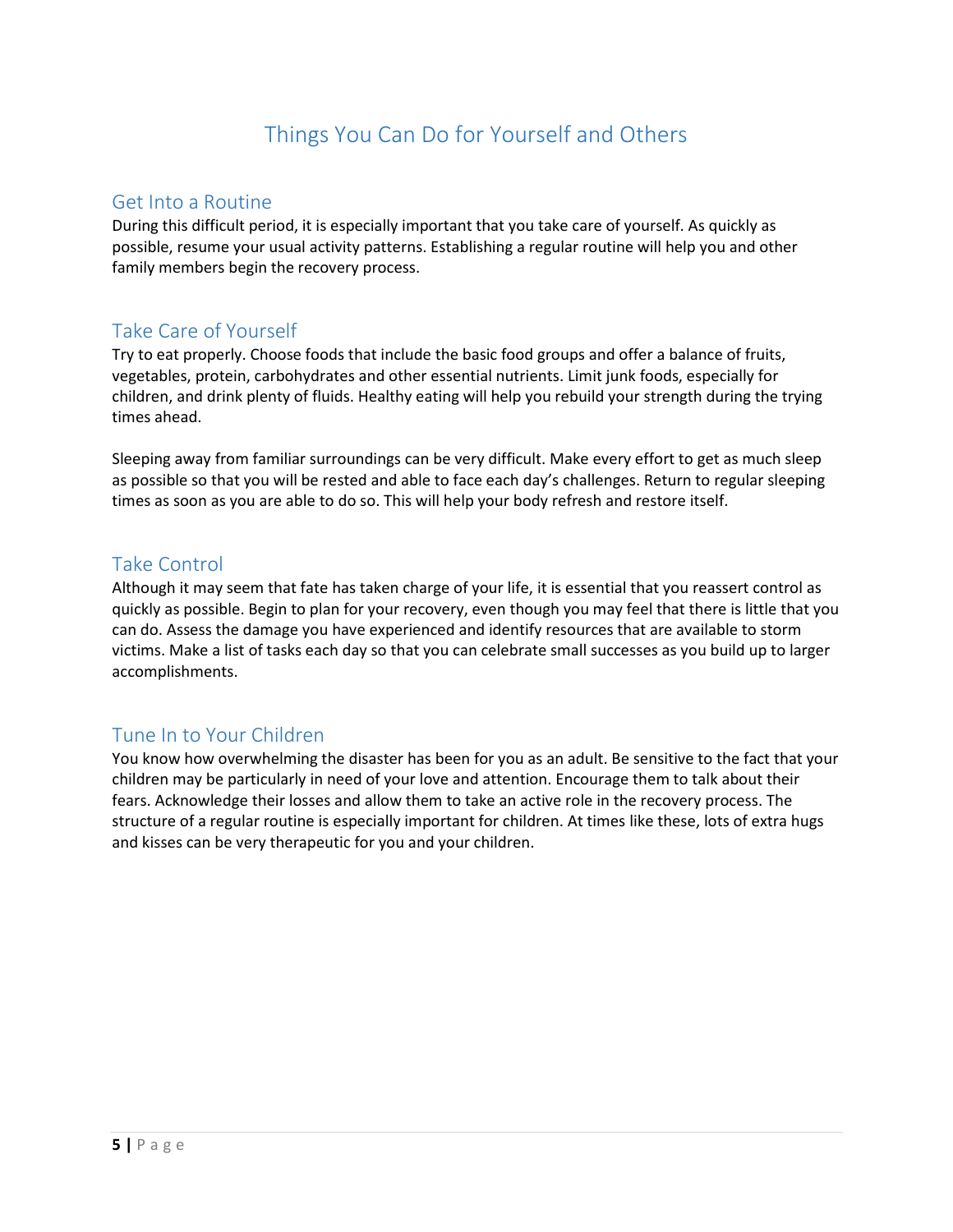# Things You Can Do for Yourself and Others

### <span id="page-4-1"></span><span id="page-4-0"></span>Get Into a Routine

During this difficult period, it is especially important that you take care of yourself. As quickly as possible, resume your usual activity patterns. Establishing a regular routine will help you and other family members begin the recovery process.

### <span id="page-4-2"></span>Take Care of Yourself

Try to eat properly. Choose foods that include the basic food groups and offer a balance of fruits, vegetables, protein, carbohydrates and other essential nutrients. Limit junk foods, especially for children, and drink plenty of fluids. Healthy eating will help you rebuild your strength during the trying times ahead.

Sleeping away from familiar surroundings can be very difficult. Make every effort to get as much sleep as possible so that you will be rested and able to face each day's challenges. Return to regular sleeping times as soon as you are able to do so. This will help your body refresh and restore itself.

### <span id="page-4-3"></span>Take Control

Although it may seem that fate has taken charge of your life, it is essential that you reassert control as quickly as possible. Begin to plan for your recovery, even though you may feel that there is little that you can do. Assess the damage you have experienced and identify resources that are available to storm victims. Make a list of tasks each day so that you can celebrate small successes as you build up to larger accomplishments.

### <span id="page-4-4"></span>Tune In to Your Children

You know how overwhelming the disaster has been for you as an adult. Be sensitive to the fact that your children may be particularly in need of your love and attention. Encourage them to talk about their fears. Acknowledge their losses and allow them to take an active role in the recovery process. The structure of a regular routine is especially important for children. At times like these, lots of extra hugs and kisses can be very therapeutic for you and your children.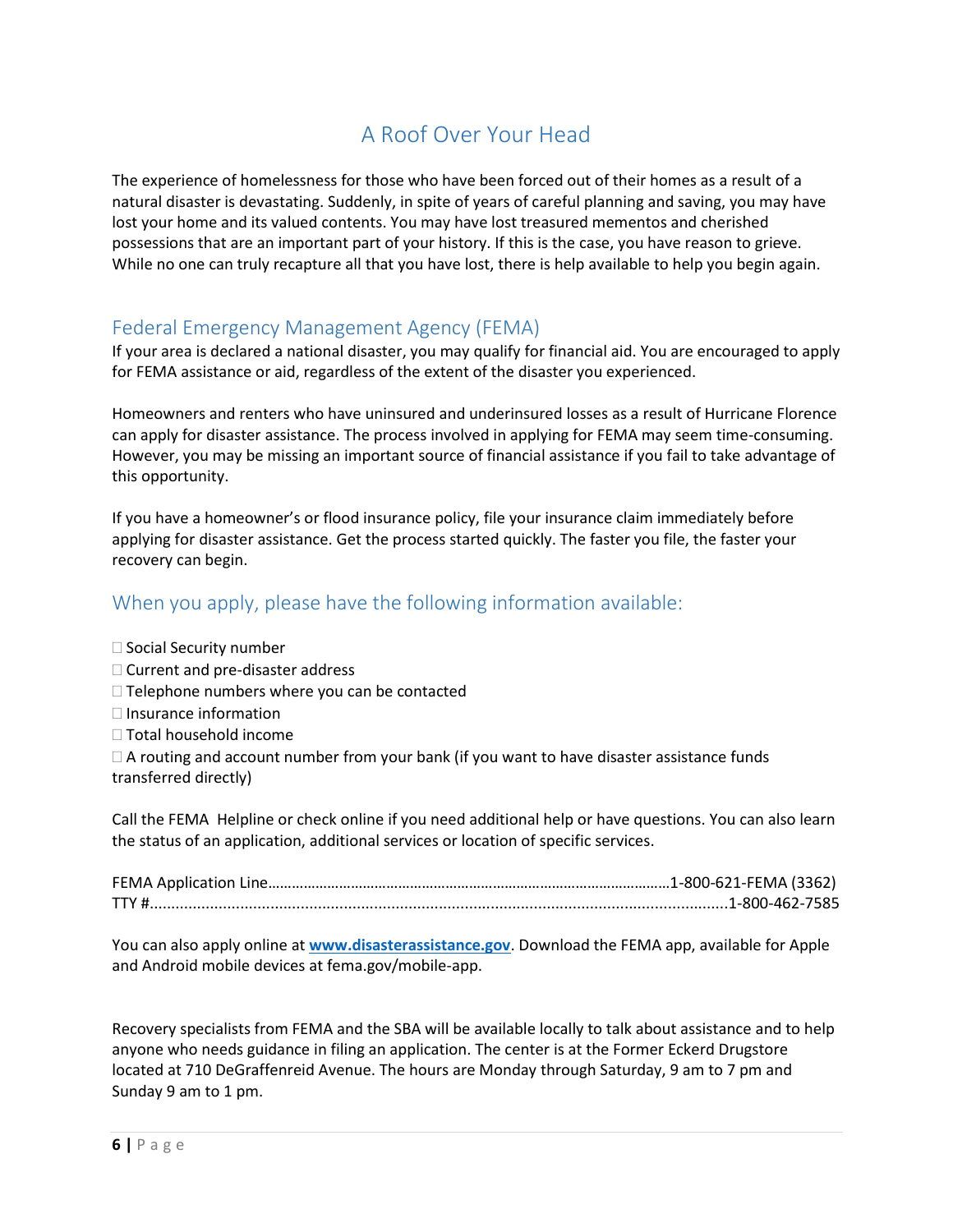### A Roof Over Your Head

<span id="page-5-0"></span>The experience of homelessness for those who have been forced out of their homes as a result of a natural disaster is devastating. Suddenly, in spite of years of careful planning and saving, you may have lost your home and its valued contents. You may have lost treasured mementos and cherished possessions that are an important part of your history. If this is the case, you have reason to grieve. While no one can truly recapture all that you have lost, there is help available to help you begin again.

### <span id="page-5-1"></span>Federal Emergency Management Agency (FEMA)

If your area is declared a national disaster, you may qualify for financial aid. You are encouraged to apply for FEMA assistance or aid, regardless of the extent of the disaster you experienced.

Homeowners and renters who have uninsured and underinsured losses as a result of Hurricane Florence can apply for disaster assistance. The process involved in applying for FEMA may seem time-consuming. However, you may be missing an important source of financial assistance if you fail to take advantage of this opportunity.

If you have a homeowner's or flood insurance policy, file your insurance claim immediately before applying for disaster assistance. Get the process started quickly. The faster you file, the faster your recovery can begin.

### <span id="page-5-2"></span>When you apply, please have the following information available:

 $\square$  Social Security number  $\Box$  Current and pre-disaster address  $\Box$  Telephone numbers where you can be contacted

- $\Box$  Insurance information
- □ Total household income

 $\Box$  A routing and account number from your bank (if you want to have disaster assistance funds transferred directly)

Call the FEMA Helpline or check online if you need additional help or have questions. You can also learn the status of an application, additional services or location of specific services.

You can also apply online at **[www.disasterassistance.gov](http://www.disasterassistance.gov/)**. Download the FEMA app, available for Apple and Android mobile devices at fema.gov/mobile-app.

Recovery specialists from FEMA and the SBA will be available locally to talk about assistance and to help anyone who needs guidance in filing an application. The center is at the Former Eckerd Drugstore located at 710 DeGraffenreid Avenue. The hours are Monday through Saturday, 9 am to 7 pm and Sunday 9 am to 1 pm.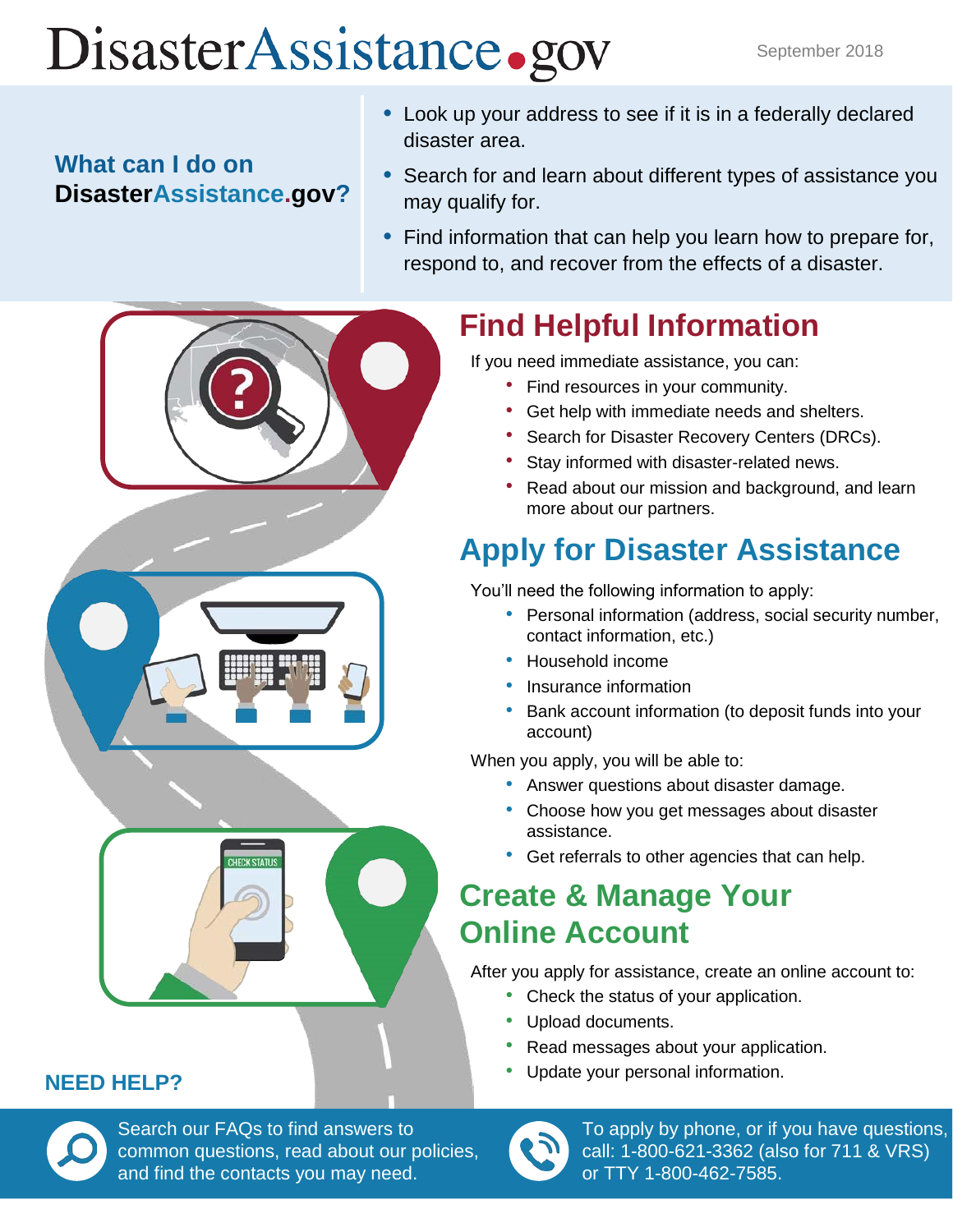# DisasterAssistance.gov

# **What can I do on DisasterAssistance.gov?**

- Look up your address to see if it is in a federally declared disaster area.
- Search for and learn about different types of assistance you may qualify for.
- Find information that can help you learn how to prepare for, respond to, and recover from the effects of a disaster.

# **Find Helpful Information**

If you need immediate assistance, you can:

- Find resources in your community.
- Get help with immediate needs and shelters.
- Search for Disaster Recovery Centers (DRCs).
- Stay informed with disaster-related news.
- Read about our mission and background, and learn more about our partners.

# **Apply for Disaster Assistance**

You'll need the following information to apply:

- Personal information (address, social security number, contact information, etc.)
- Household income
- Insurance information
- Bank account information (to deposit funds into your account)

When you apply, you will be able to:

- Answer questions about disaster damage.
- Choose how you get messages about disaster assistance.
- Get referrals to other agencies that can help.

# **Create & Manage Your Online Account**

After you apply for assistance, create an online account to:

- Check the status of your application.
- Upload documents.
- Read messages about your application.
- Update your personal information.



To apply by phone, or if you have questions, call: 1-800-621-3362 (also for 711 & VRS) or TTY 1-800-462-7585.



# **NEED HELP?**

common questions, read about our policies, Search our FAQs to find answers to and find the contacts you may need.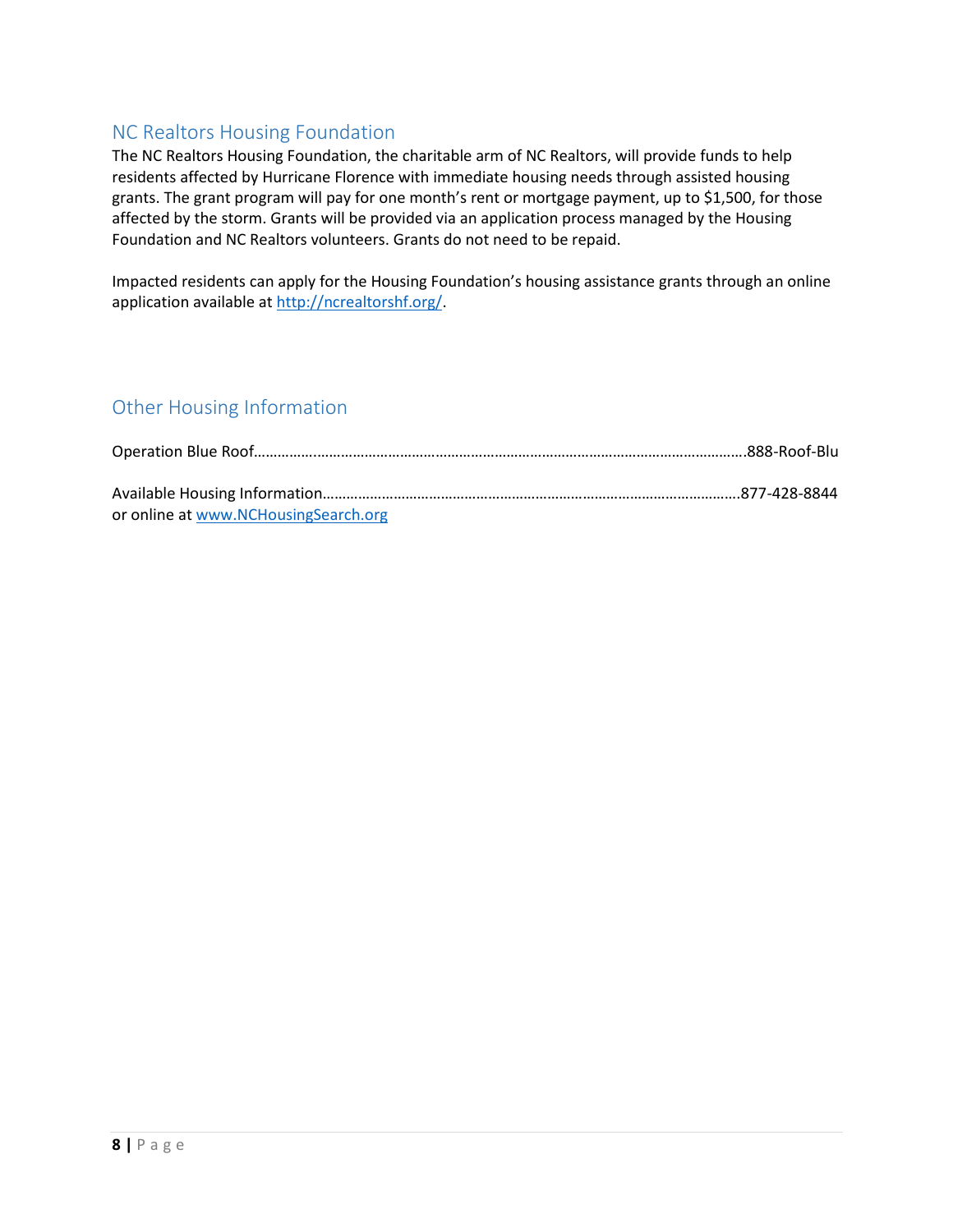### <span id="page-7-0"></span>NC Realtors Housing Foundation

The NC Realtors Housing Foundation, the charitable arm of NC Realtors, will provide funds to help residents affected by Hurricane Florence with immediate housing needs through assisted housing grants. The grant program will pay for one month's rent or mortgage payment, up to \$1,500, for those affected by the storm. Grants will be provided via an application process managed by the Housing Foundation and NC Realtors volunteers. Grants do not need to be repaid.

Impacted residents can apply for the Housing Foundation's housing assistance grants through an online application available a[t http://ncrealtorshf.org/.](http://ncrealtorshf.org/)

### <span id="page-7-1"></span>Other Housing Information

| or online at www.NCHousingSearch.org |  |
|--------------------------------------|--|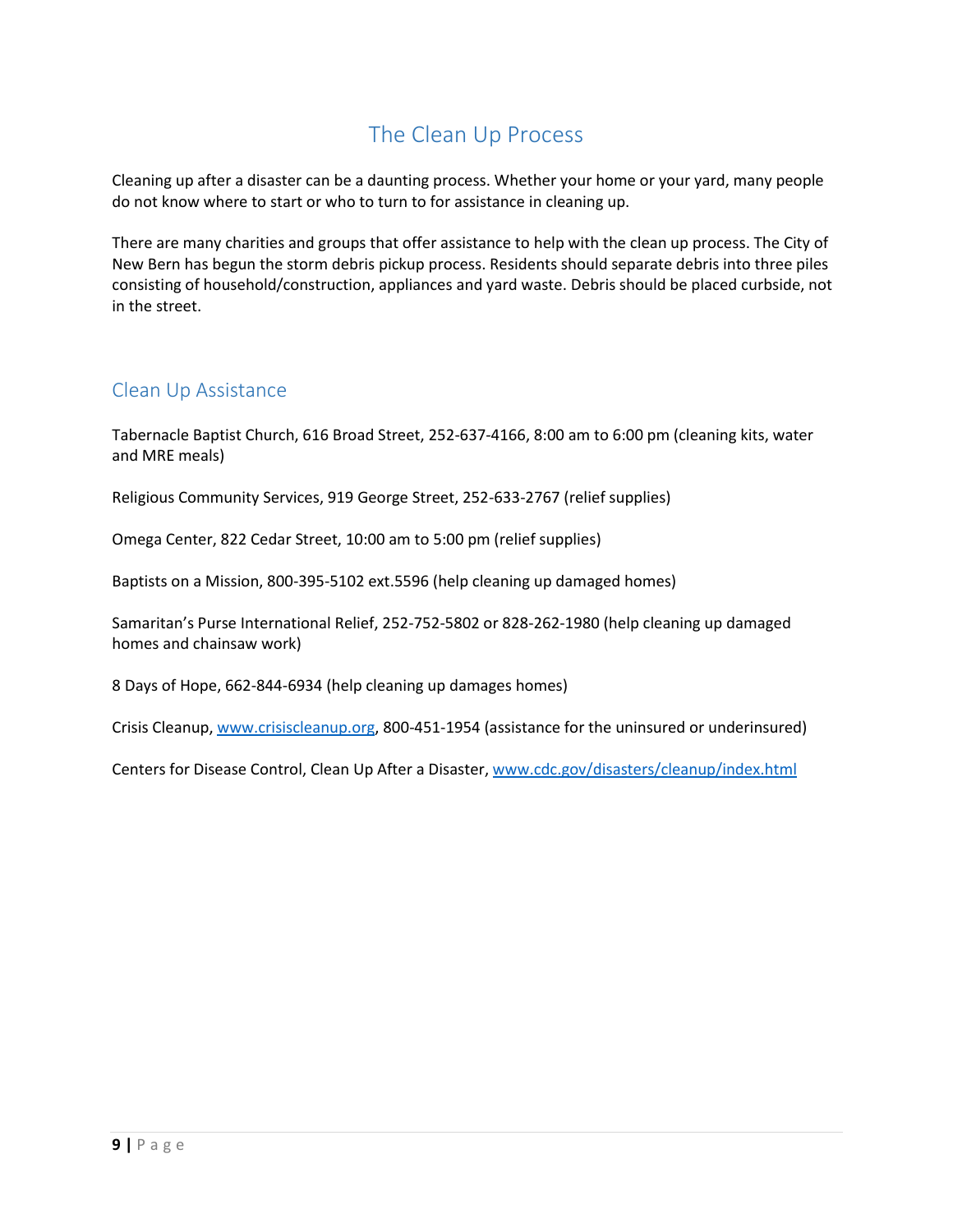# The Clean Up Process

<span id="page-8-0"></span>Cleaning up after a disaster can be a daunting process. Whether your home or your yard, many people do not know where to start or who to turn to for assistance in cleaning up.

There are many charities and groups that offer assistance to help with the clean up process. The City of New Bern has begun the storm debris pickup process. Residents should separate debris into three piles consisting of household/construction, appliances and yard waste. Debris should be placed curbside, not in the street.

### <span id="page-8-1"></span>Clean Up Assistance

Tabernacle Baptist Church, 616 Broad Street, 252-637-4166, 8:00 am to 6:00 pm (cleaning kits, water and MRE meals)

Religious Community Services, 919 George Street, 252-633-2767 (relief supplies)

Omega Center, 822 Cedar Street, 10:00 am to 5:00 pm (relief supplies)

Baptists on a Mission, 800-395-5102 ext.5596 (help cleaning up damaged homes)

Samaritan's Purse International Relief, 252-752-5802 or 828-262-1980 (help cleaning up damaged homes and chainsaw work)

8 Days of Hope, 662-844-6934 (help cleaning up damages homes)

Crisis Cleanup[, www.crisiscleanup.org,](http://www.crisiscleanup.org/) 800-451-1954 (assistance for the uninsured or underinsured)

Centers for Disease Control, Clean Up After a Disaster[, www.cdc.gov/disasters/cleanup/index.html](http://www.cdc.gov/disasters/cleanup/index.html)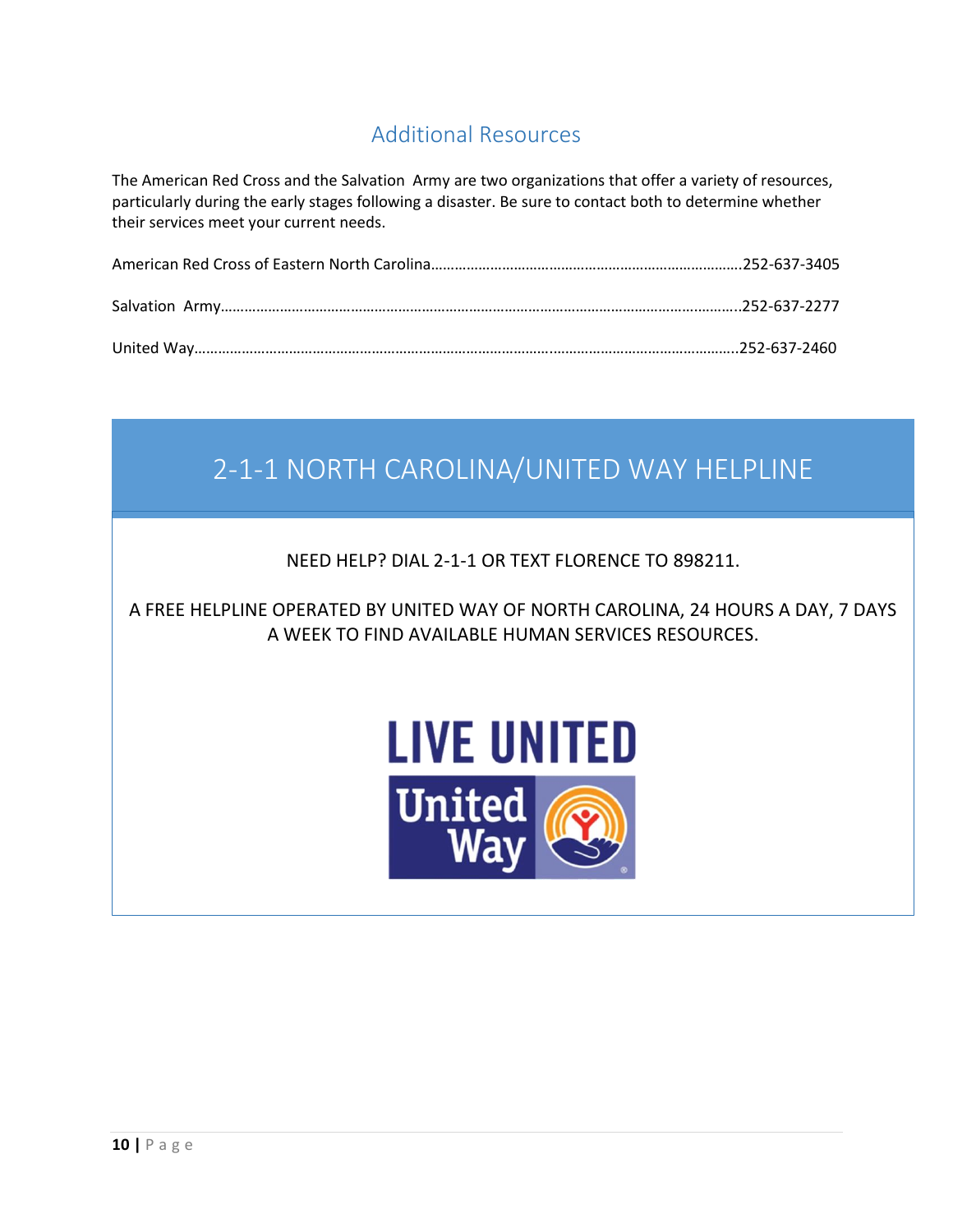# Additional Resources

<span id="page-9-0"></span>The American Red Cross and the Salvation Army are two organizations that offer a variety of resources, particularly during the early stages following a disaster. Be sure to contact both to determine whether their services meet your current needs.

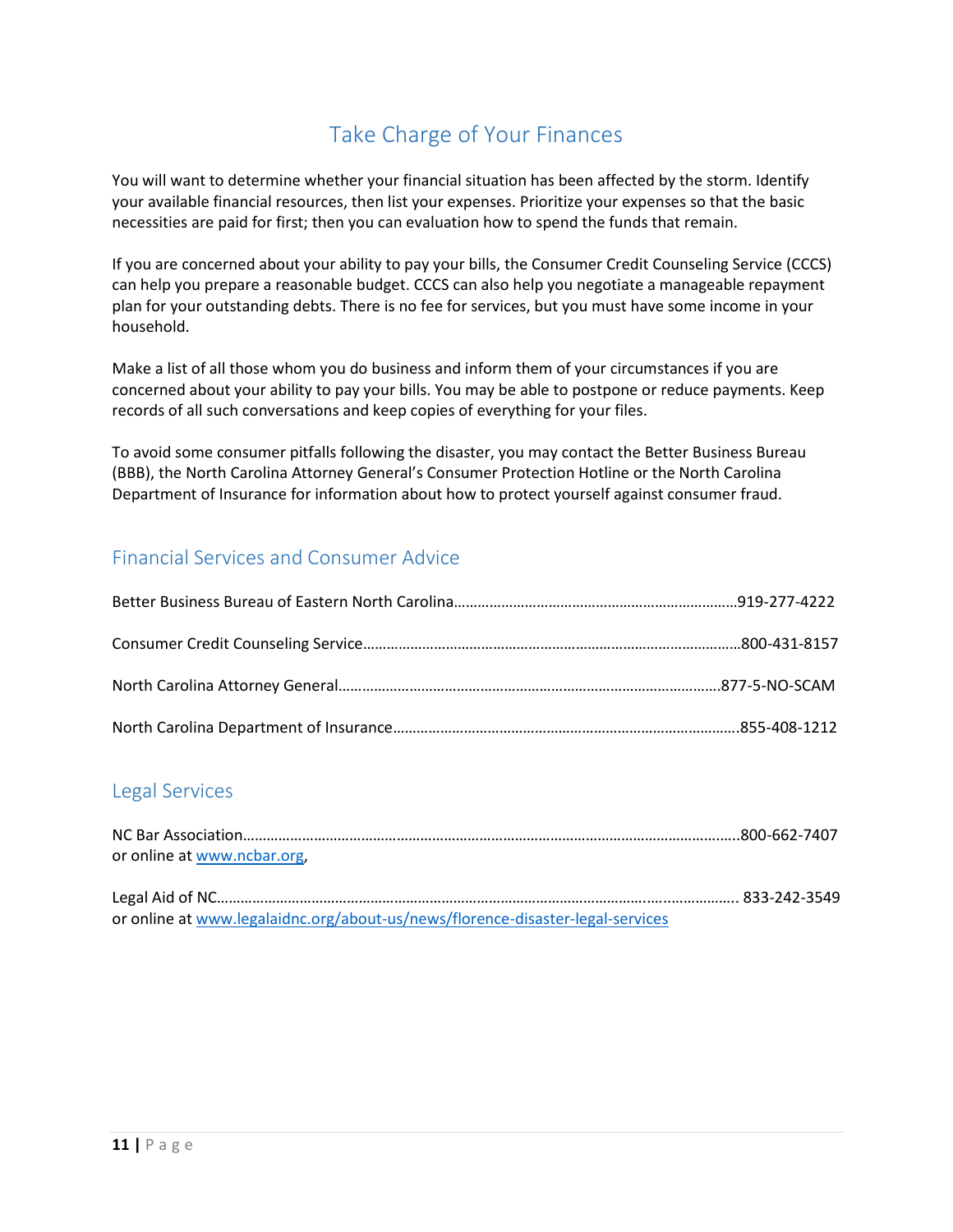# Take Charge of Your Finances

<span id="page-10-0"></span>You will want to determine whether your financial situation has been affected by the storm. Identify your available financial resources, then list your expenses. Prioritize your expenses so that the basic necessities are paid for first; then you can evaluation how to spend the funds that remain.

If you are concerned about your ability to pay your bills, the Consumer Credit Counseling Service (CCCS) can help you prepare a reasonable budget. CCCS can also help you negotiate a manageable repayment plan for your outstanding debts. There is no fee for services, but you must have some income in your household.

Make a list of all those whom you do business and inform them of your circumstances if you are concerned about your ability to pay your bills. You may be able to postpone or reduce payments. Keep records of all such conversations and keep copies of everything for your files.

To avoid some consumer pitfalls following the disaster, you may contact the Better Business Bureau (BBB), the North Carolina Attorney General's Consumer Protection Hotline or the North Carolina Department of Insurance for information about how to protect yourself against consumer fraud.

### <span id="page-10-1"></span>Financial Services and Consumer Advice

### <span id="page-10-2"></span>Legal Services

| or online at www.ncbar.org, |  |
|-----------------------------|--|
|                             |  |

Legal Aid of NC………………………………………………………………………………………………..…..…………….. 833-242-3549 or online at [www.legalaidnc.org/about-us/news/florence-disaster-legal-services](http://www.legalaidnc.org/about-us/news/florence-disaster-legal-services)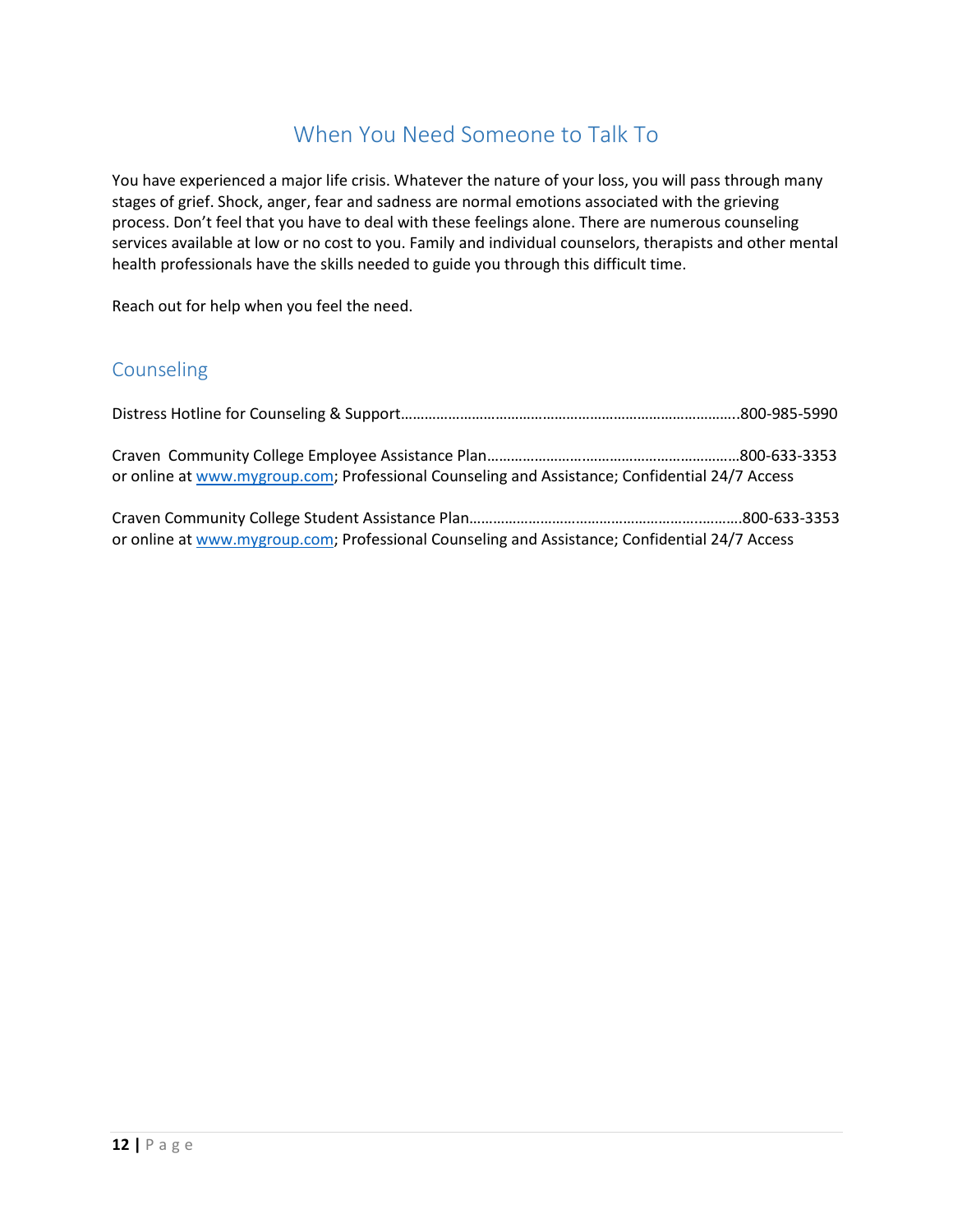### When You Need Someone to Talk To

<span id="page-11-0"></span>You have experienced a major life crisis. Whatever the nature of your loss, you will pass through many stages of grief. Shock, anger, fear and sadness are normal emotions associated with the grieving process. Don't feel that you have to deal with these feelings alone. There are numerous counseling services available at low or no cost to you. Family and individual counselors, therapists and other mental health professionals have the skills needed to guide you through this difficult time.

Reach out for help when you feel the need.

### <span id="page-11-1"></span>Counseling

| or online at www.mygroup.com; Professional Counseling and Assistance; Confidential 24/7 Access |  |
|------------------------------------------------------------------------------------------------|--|
| or online at www.mygroup.com; Professional Counseling and Assistance; Confidential 24/7 Access |  |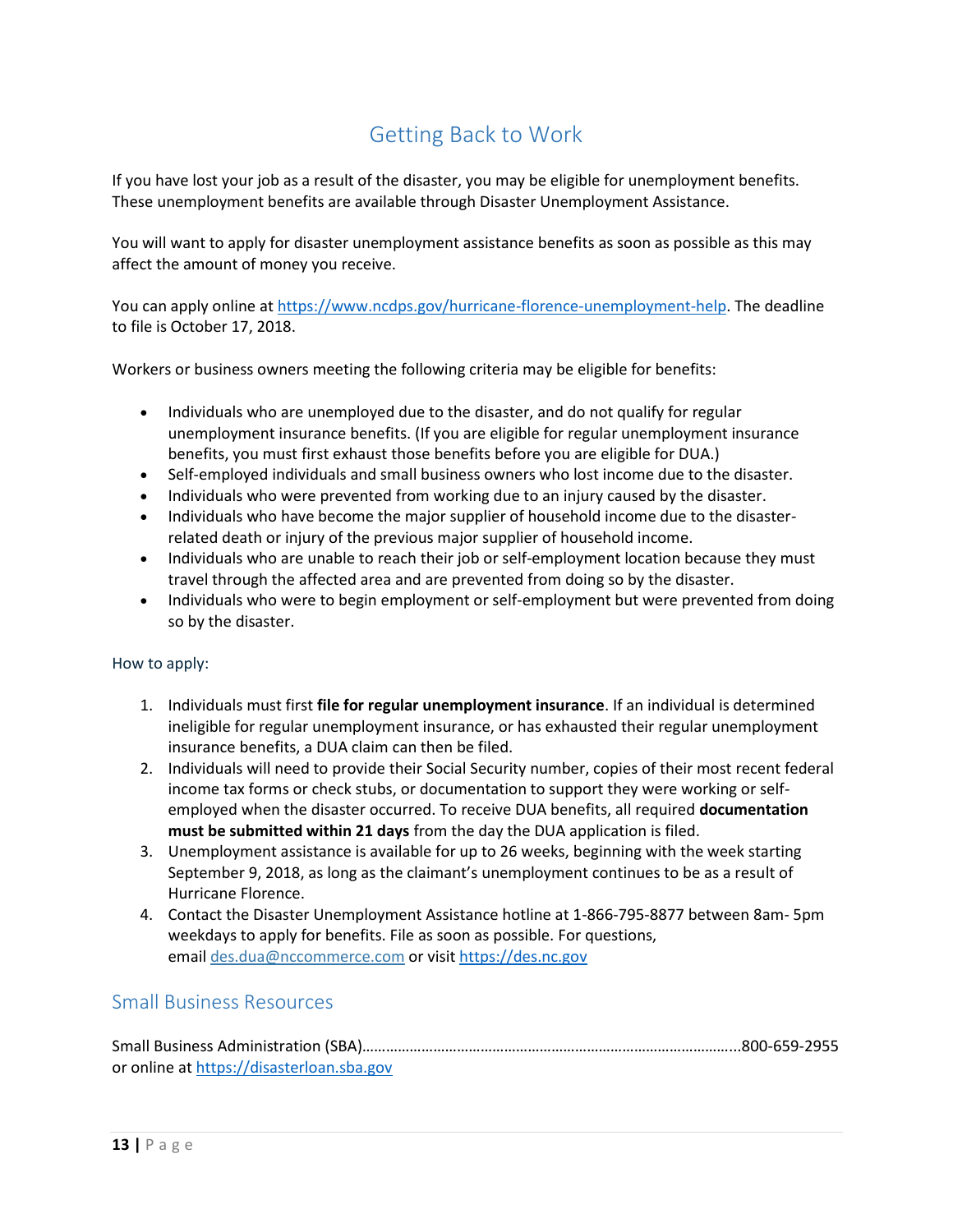# Getting Back to Work

<span id="page-12-0"></span>If you have lost your job as a result of the disaster, you may be eligible for unemployment benefits. These unemployment benefits are available through Disaster Unemployment Assistance.

You will want to apply for disaster unemployment assistance benefits as soon as possible as this may affect the amount of money you receive.

You can apply online at [https://www.ncdps.gov/hurricane-florence-unemployment-help.](https://www.ncdps.gov/hurricane-florence-unemployment-help) The deadline to file is October 17, 2018.

Workers or business owners meeting the following criteria may be eligible for benefits:

- Individuals who are unemployed due to the disaster, and do not qualify for regular unemployment insurance benefits. (If you are eligible for regular unemployment insurance benefits, you must first exhaust those benefits before you are eligible for DUA.)
- Self-employed individuals and small business owners who lost income due to the disaster.
- Individuals who were prevented from working due to an injury caused by the disaster.
- Individuals who have become the major supplier of household income due to the disasterrelated death or injury of the previous major supplier of household income.
- Individuals who are unable to reach their job or self-employment location because they must travel through the affected area and are prevented from doing so by the disaster.
- Individuals who were to begin employment or self-employment but were prevented from doing so by the disaster.

#### How to apply:

- 1. Individuals must first **file for regular unemployment insurance**. If an individual is determined ineligible for regular unemployment insurance, or has exhausted their regular unemployment insurance benefits, a DUA claim can then be filed.
- 2. Individuals will need to provide their Social Security number, copies of their most recent federal income tax forms or check stubs, or documentation to support they were working or selfemployed when the disaster occurred. To receive DUA benefits, all required **documentation must be submitted within 21 days** from the day the DUA application is filed.
- 3. Unemployment assistance is available for up to 26 weeks, beginning with the week starting September 9, 2018, as long as the claimant's unemployment continues to be as a result of Hurricane Florence.
- 4. Contact the Disaster Unemployment Assistance hotline at 1-866-795-8877 between 8am- 5pm weekdays to apply for benefits. File as soon as possible. For questions, email [des.dua@nccommerce.com](mailto:esc.dua@nccommerce.com) or visit [https://des.nc.gov](https://des.nc.gov/)

### <span id="page-12-1"></span>Small Business Resources

| or online at https://disasterloan.sba.gov |  |
|-------------------------------------------|--|